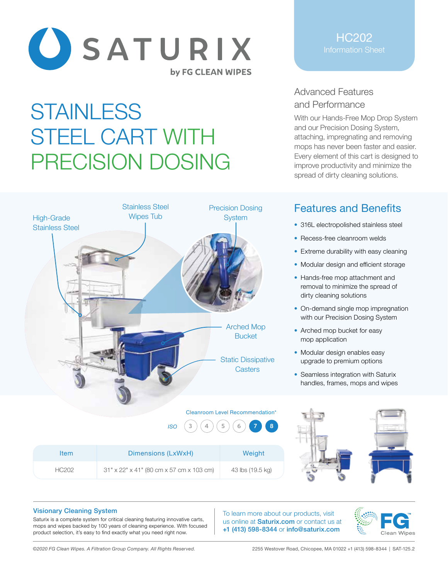

# **STAINLESS** STEEL CART WITH PRECISION DOSING



### HC202 Information Sheet

# Advanced Features and Performance

With our Hands-Free Mop Drop System and our Precision Dosing System, attaching, impregnating and removing mops has never been faster and easier. Every element of this cart is designed to improve productivity and minimize the spread of dirty cleaning solutions.

# Features and Benefits

- 316L electropolished stainless steel
- Recess-free cleanroom welds
- Extreme durability with easy cleaning
- Modular design and efficient storage
- Hands-free mop attachment and removal to minimize the spread of dirty cleaning solutions
- On-demand single mop impregnation with our Precision Dosing System
- Arched mop bucket for easy mop application
- Modular design enables easy upgrade to premium options
- Seamless integration with Saturix handles, frames, mops and wipes





#### Visionary Cleaning System

Saturix is a complete system for critical cleaning featuring innovative carts, mops and wipes backed by 100 years of cleaning experience. With focused product selection, it's easy to find exactly what you need right now.

To learn more about our products, visit us online at **Saturix.com** or contact us at +1 (413) 598-8344 or info@saturix.com



*©2020 FG Clean Wipes. A Filtration Group Company. All Rights Reserved.* 2255 Westover Road, Chicopee, MA 01022 +1 (413) 598-8344 | SAT-125.2